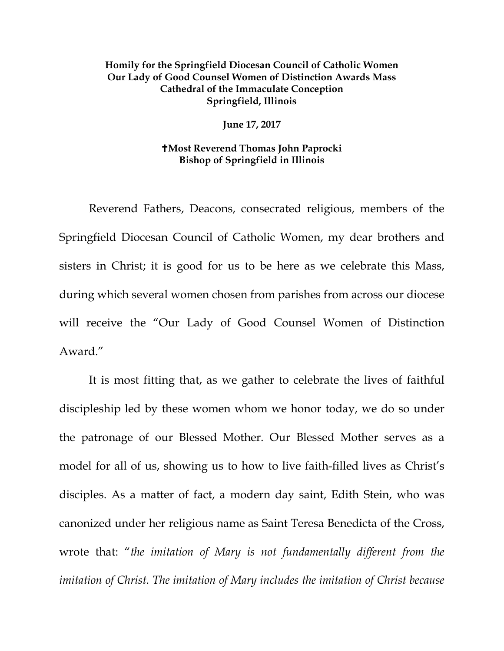## **Homily for the Springfield Diocesan Council of Catholic Women Our Lady of Good Counsel Women of Distinction Awards Mass Cathedral of the Immaculate Conception Springfield, Illinois**

**June 17, 2017** 

## **Most Reverend Thomas John Paprocki Bishop of Springfield in Illinois**

Reverend Fathers, Deacons, consecrated religious, members of the Springfield Diocesan Council of Catholic Women, my dear brothers and sisters in Christ; it is good for us to be here as we celebrate this Mass, during which several women chosen from parishes from across our diocese will receive the "Our Lady of Good Counsel Women of Distinction Award."

It is most fitting that, as we gather to celebrate the lives of faithful discipleship led by these women whom we honor today, we do so under the patronage of our Blessed Mother. Our Blessed Mother serves as a model for all of us, showing us to how to live faith-filled lives as Christ's disciples. As a matter of fact, a modern day saint, Edith Stein, who was canonized under her religious name as Saint Teresa Benedicta of the Cross, wrote that: "*the imitation of Mary is not fundamentally different from the imitation of Christ. The imitation of Mary includes the imitation of Christ because*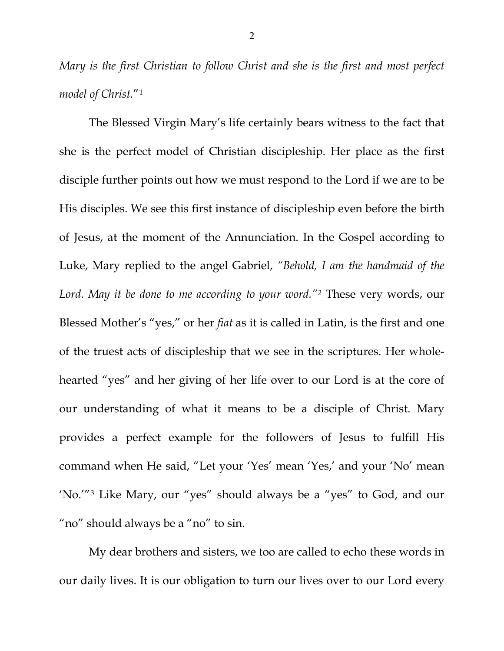*Mary is the first Christian to follow Christ and she is the first and most perfect model of Christ.*"[1](#page-3-0) 

The Blessed Virgin Mary's life certainly bears witness to the fact that she is the perfect model of Christian discipleship. Her place as the first disciple further points out how we must respond to the Lord if we are to be His disciples. We see this first instance of discipleship even before the birth of Jesus, at the moment of the Annunciation. In the Gospel according to Luke, Mary replied to the angel Gabriel, *"Behold, I am the handmaid of the Lord. May it be done to me according to your word."[2](#page-4-0)* These very words, our Blessed Mother's "yes," or her *fiat* as it is called in Latin, is the first and one of the truest acts of discipleship that we see in the scriptures. Her wholehearted "yes" and her giving of her life over to our Lord is at the core of our understanding of what it means to be a disciple of Christ. Mary provides a perfect example for the followers of Jesus to fulfill His command when He said, "Let your 'Yes' mean 'Yes,' and your 'No' mean 'No.'"[3](#page-4-1) Like Mary, our "yes" should always be a "yes" to God, and our "no" should always be a "no" to sin.

My dear brothers and sisters, we too are called to echo these words in our daily lives. It is our obligation to turn our lives over to our Lord every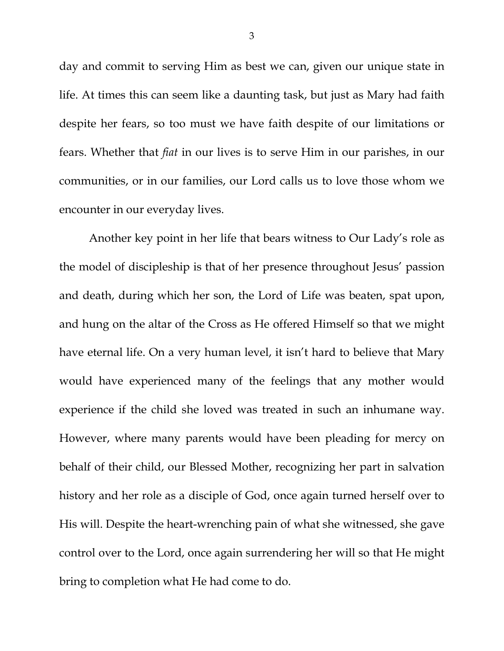day and commit to serving Him as best we can, given our unique state in life. At times this can seem like a daunting task, but just as Mary had faith despite her fears, so too must we have faith despite of our limitations or fears. Whether that *fiat* in our lives is to serve Him in our parishes, in our communities, or in our families, our Lord calls us to love those whom we encounter in our everyday lives.

Another key point in her life that bears witness to Our Lady's role as the model of discipleship is that of her presence throughout Jesus' passion and death, during which her son, the Lord of Life was beaten, spat upon, and hung on the altar of the Cross as He offered Himself so that we might have eternal life. On a very human level, it isn't hard to believe that Mary would have experienced many of the feelings that any mother would experience if the child she loved was treated in such an inhumane way. However, where many parents would have been pleading for mercy on behalf of their child, our Blessed Mother, recognizing her part in salvation history and her role as a disciple of God, once again turned herself over to His will. Despite the heart-wrenching pain of what she witnessed, she gave control over to the Lord, once again surrendering her will so that He might bring to completion what He had come to do.

3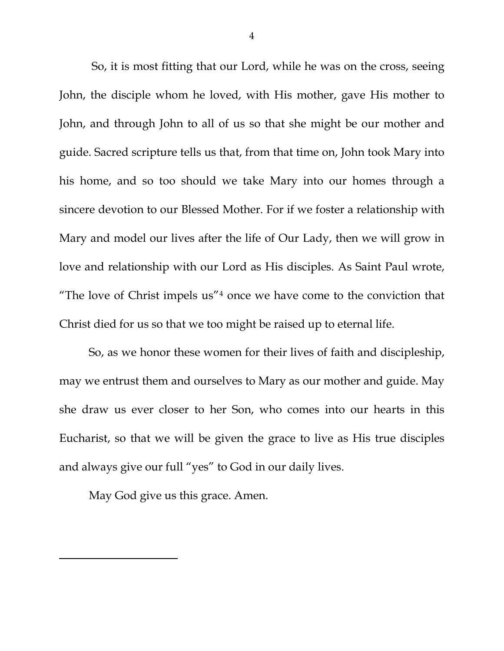So, it is most fitting that our Lord, while he was on the cross, seeing John, the disciple whom he loved, with His mother, gave His mother to John, and through John to all of us so that she might be our mother and guide. Sacred scripture tells us that, from that time on, John took Mary into his home, and so too should we take Mary into our homes through a sincere devotion to our Blessed Mother. For if we foster a relationship with Mary and model our lives after the life of Our Lady, then we will grow in love and relationship with our Lord as His disciples. As Saint Paul wrote, "The love of Christ impels us"[4](#page-4-2) once we have come to the conviction that Christ died for us so that we too might be raised up to eternal life.

So, as we honor these women for their lives of faith and discipleship, may we entrust them and ourselves to Mary as our mother and guide. May she draw us ever closer to her Son, who comes into our hearts in this Eucharist, so that we will be given the grace to live as His true disciples and always give our full "yes" to God in our daily lives.

May God give us this grace. Amen.

<span id="page-3-0"></span>l